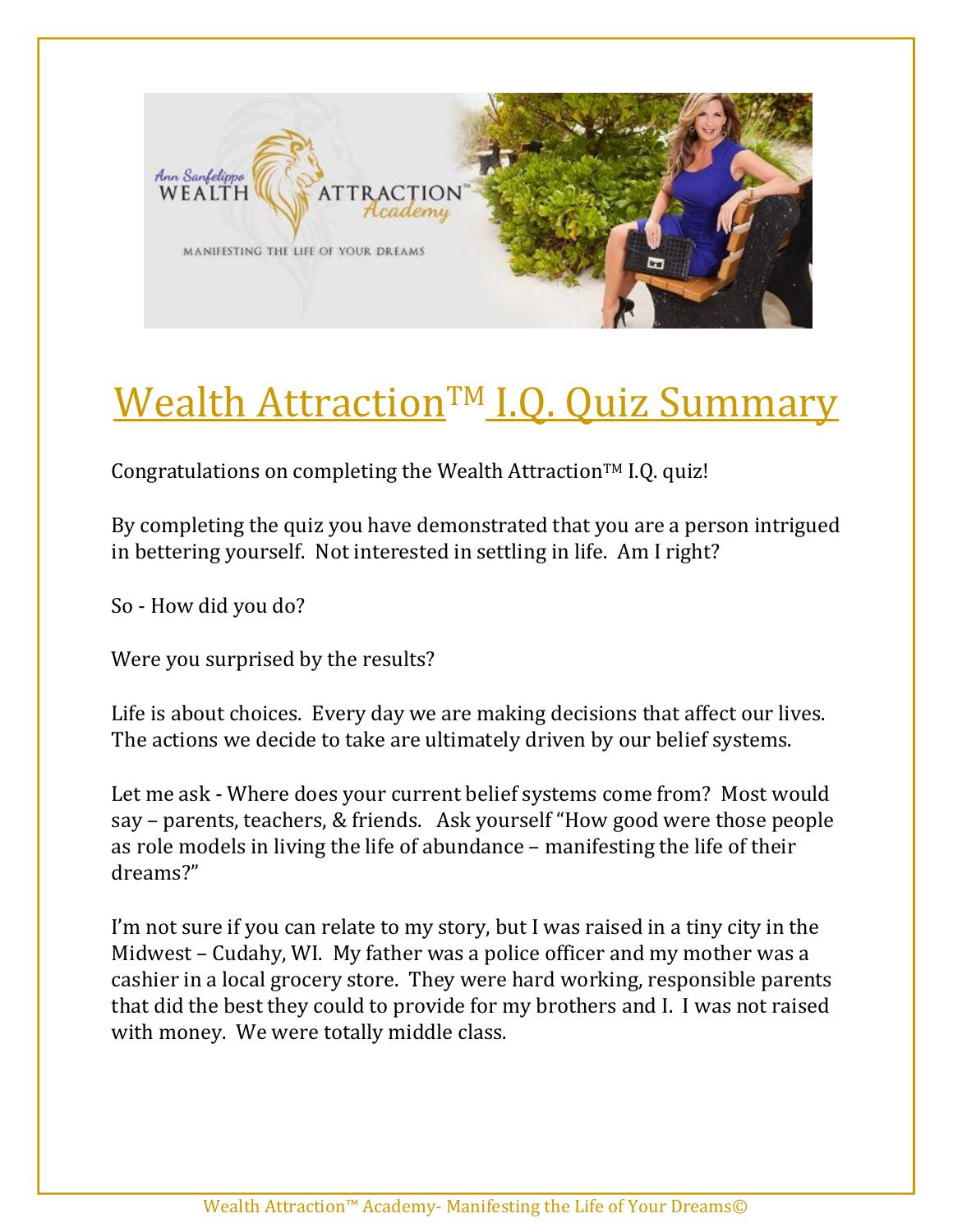

## Wealth Attraction<sup>™</sup> I.Q. Quiz Summary

Congratulations on completing the Wealth Attraction<sup>TM</sup> I.Q. quiz!

By completing the quiz you have demonstrated that you are a person intrigued in bettering yourself. Not interested in settling in life. Am I right?

So - How did you do?

Were you surprised by the results?

Life is about choices. Every day we are making decisions that affect our lives. The actions we decide to take are ultimately driven by our belief systems.

Let me ask - Where does your current belief systems come from? Most would say – parents, teachers, & friends. Ask yourself "How good were those people as role models in living the life of abundance – manifesting the life of their dreams?"

I'm not sure if you can relate to my story, but I was raised in a tiny city in the Midwest – Cudahy, WI. My father was a police officer and my mother was a cashier in a local grocery store. They were hard working, responsible parents that did the best they could to provide for my brothers and I. I was not raised with money. We were totally middle class.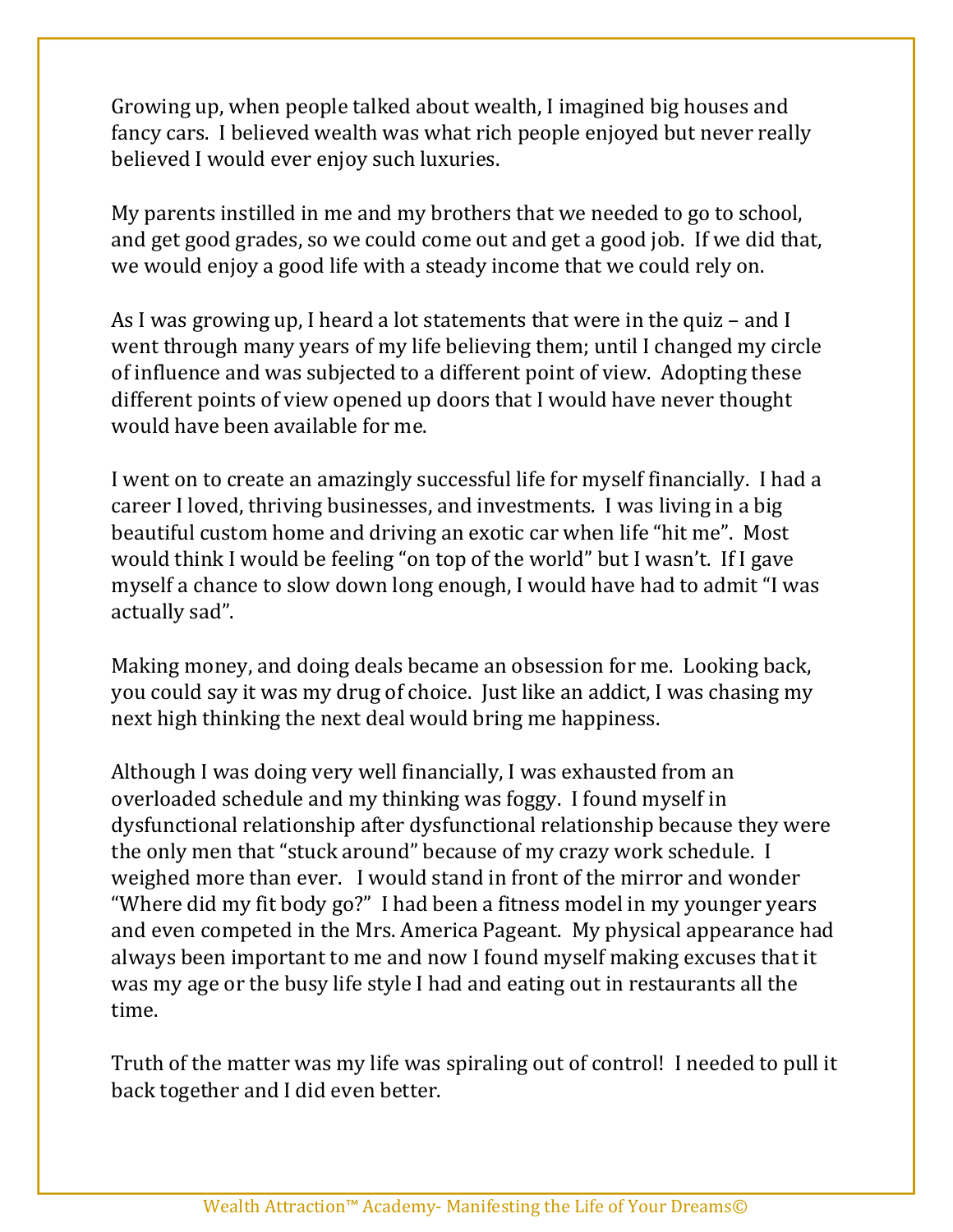Growing up, when people talked about wealth, I imagined big houses and fancy cars. I believed wealth was what rich people enjoyed but never really believed I would ever enjoy such luxuries.

My parents instilled in me and my brothers that we needed to go to school, and get good grades, so we could come out and get a good job. If we did that, we would enjoy a good life with a steady income that we could rely on.

As I was growing up, I heard a lot statements that were in the quiz – and I went through many years of my life believing them; until I changed my circle of influence and was subjected to a different point of view. Adopting these different points of view opened up doors that I would have never thought would have been available for me.

I went on to create an amazingly successful life for myself financially. I had a career I loved, thriving businesses, and investments. I was living in a big beautiful custom home and driving an exotic car when life "hit me". Most would think I would be feeling "on top of the world" but I wasn't. If I gave myself a chance to slow down long enough, I would have had to admit "I was actually sad".

Making money, and doing deals became an obsession for me. Looking back, you could say it was my drug of choice. Just like an addict, I was chasing my next high thinking the next deal would bring me happiness.

Although I was doing very well financially, I was exhausted from an overloaded schedule and my thinking was foggy. I found myself in dysfunctional relationship after dysfunctional relationship because they were the only men that "stuck around" because of my crazy work schedule. I weighed more than ever. I would stand in front of the mirror and wonder "Where did my fit body go?" I had been a fitness model in my younger years and even competed in the Mrs. America Pageant. My physical appearance had always been important to me and now I found myself making excuses that it was my age or the busy life style I had and eating out in restaurants all the time.

Truth of the matter was my life was spiraling out of control! I needed to pull it back together and I did even better.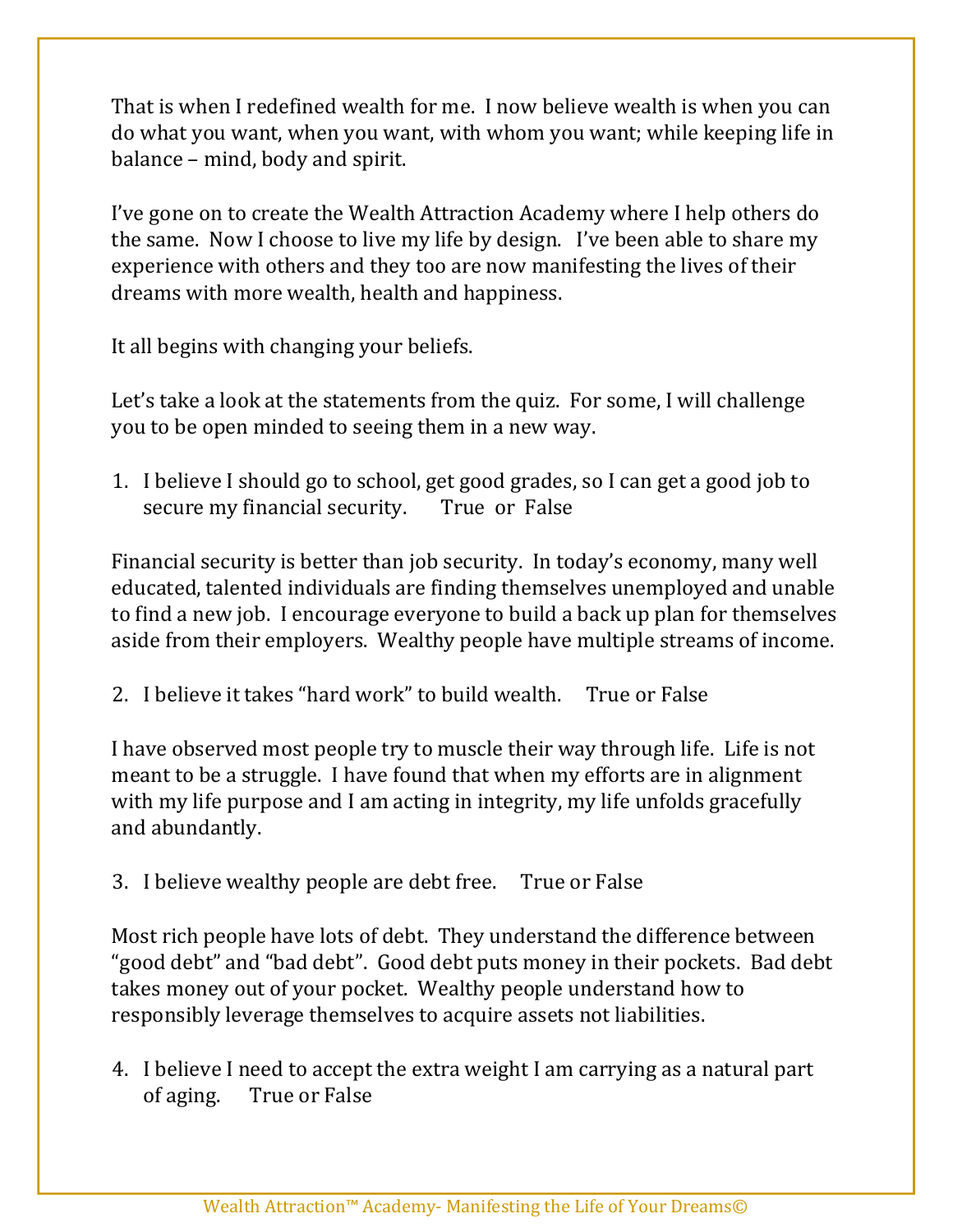That is when I redefined wealth for me. I now believe wealth is when you can do what you want, when you want, with whom you want; while keeping life in balance – mind, body and spirit.

I've gone on to create the Wealth Attraction Academy where I help others do the same. Now I choose to live my life by design. I've been able to share my experience with others and they too are now manifesting the lives of their dreams with more wealth, health and happiness.

It all begins with changing your beliefs.

Let's take a look at the statements from the quiz. For some, I will challenge you to be open minded to seeing them in a new way.

1. I believe I should go to school, get good grades, so I can get a good job to secure my financial security. True or False

Financial security is better than job security. In today's economy, many well educated, talented individuals are finding themselves unemployed and unable to find a new job. I encourage everyone to build a back up plan for themselves aside from their employers. Wealthy people have multiple streams of income.

2. I believe it takes "hard work" to build wealth. True or False

I have observed most people try to muscle their way through life. Life is not meant to be a struggle. I have found that when my efforts are in alignment with my life purpose and I am acting in integrity, my life unfolds gracefully and abundantly.

3. I believe wealthy people are debt free. True or False

Most rich people have lots of debt. They understand the difference between "good debt" and "bad debt". Good debt puts money in their pockets. Bad debt takes money out of your pocket. Wealthy people understand how to responsibly leverage themselves to acquire assets not liabilities.

4. I believe I need to accept the extra weight I am carrying as a natural part of aging. True or False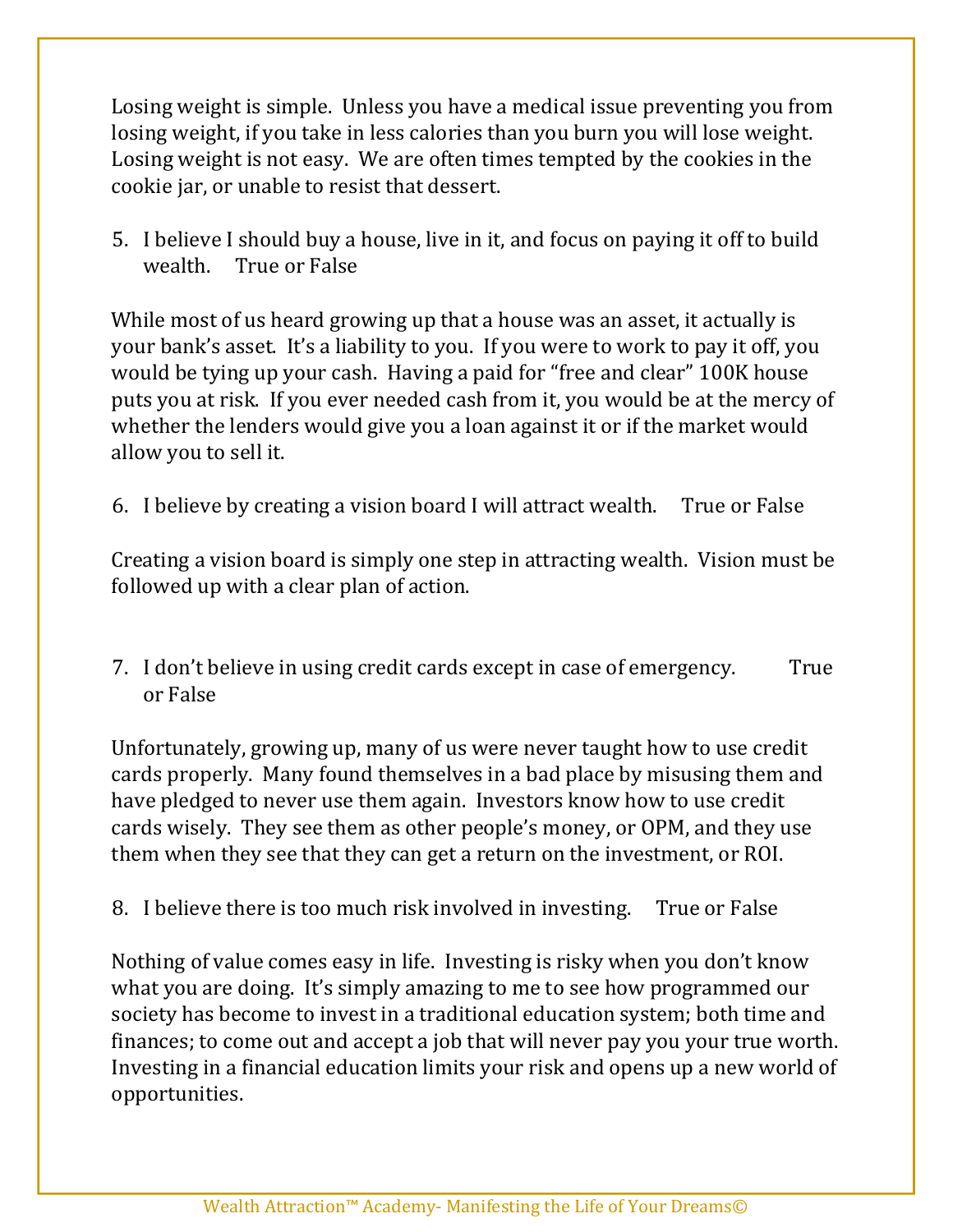Losing weight is simple. Unless you have a medical issue preventing you from losing weight, if you take in less calories than you burn you will lose weight. Losing weight is not easy. We are often times tempted by the cookies in the cookie jar, or unable to resist that dessert.

5. I believe I should buy a house, live in it, and focus on paying it off to build wealth. True or False

While most of us heard growing up that a house was an asset, it actually is your bank's asset. It's a liability to you. If you were to work to pay it off, you would be tying up your cash. Having a paid for "free and clear" 100K house puts you at risk. If you ever needed cash from it, you would be at the mercy of whether the lenders would give you a loan against it or if the market would allow you to sell it.

6. I believe by creating a vision board I will attract wealth. True or False

Creating a vision board is simply one step in attracting wealth. Vision must be followed up with a clear plan of action.

7. I don't believe in using credit cards except in case of emergency. True or False

Unfortunately, growing up, many of us were never taught how to use credit cards properly. Many found themselves in a bad place by misusing them and have pledged to never use them again. Investors know how to use credit cards wisely. They see them as other people's money, or OPM, and they use them when they see that they can get a return on the investment, or ROI.

8. I believe there is too much risk involved in investing. True or False

Nothing of value comes easy in life. Investing is risky when you don't know what you are doing. It's simply amazing to me to see how programmed our society has become to invest in a traditional education system; both time and finances; to come out and accept a job that will never pay you your true worth. Investing in a financial education limits your risk and opens up a new world of opportunities.